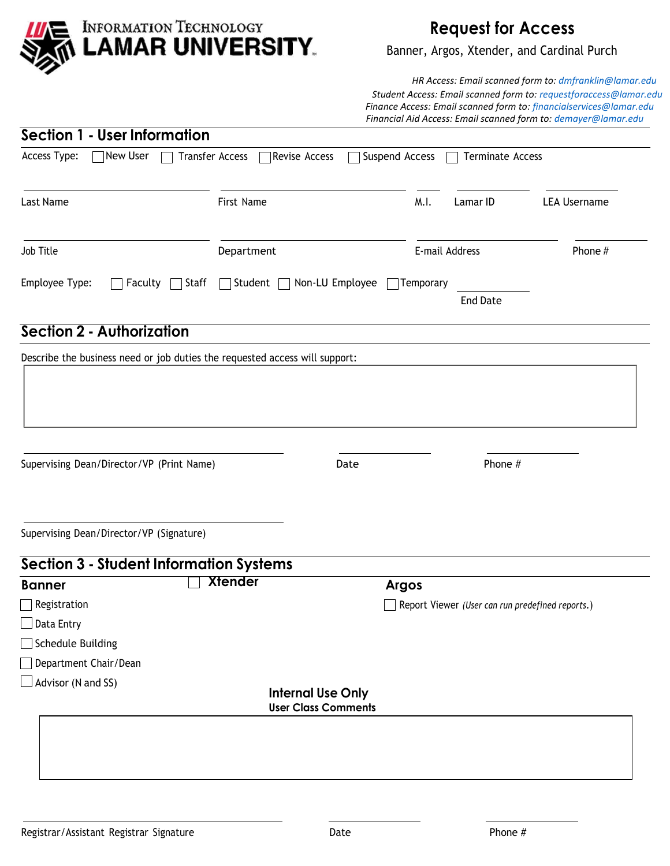

## **Request for Access**

Banner, Argos, Xtender, and Cardinal Purch

 *HR Access: Email scanned form to: dmfranklin@lamar.edu Student Access: Email scanned form to: requestforaccess@lamar.edu Finance Access: Email scanned form to: financialservices@lamar.edu Financial Aid Access: Email scanned form to: demayer@lamar.edu* 

| Section 1 - User Information                       |                                                   |                                           |                     |
|----------------------------------------------------|---------------------------------------------------|-------------------------------------------|---------------------|
| $\Box$ New User<br>Access Type:<br><b>Contract</b> | <b>Transfer Access</b><br>Revise Access           | Suspend Access<br><b>Terminate Access</b> |                     |
| Last Name                                          | First Name                                        | M.I.<br>Lamar ID                          | <b>LEA Username</b> |
| Job Title                                          | Department                                        | E-mail Address                            | Phone #             |
| Employee Type:<br>$\Box$ Staff<br>$\Box$ Faculty   | Non-LU Employee<br>Student $\Box$<br>$\mathbf{L}$ | Temporary<br><b>End Date</b>              |                     |
| <b>Section 2 - Authorization</b>                   |                                                   |                                           |                     |

|                                                    |                | Describe the business need or job duties the requested access will support: |                                                  |
|----------------------------------------------------|----------------|-----------------------------------------------------------------------------|--------------------------------------------------|
| Supervising Dean/Director/VP (Print Name)          |                | Date                                                                        | Phone #                                          |
| Supervising Dean/Director/VP (Signature)           |                |                                                                             |                                                  |
| <b>Section 3 - Student Information Systems</b>     | <b>Xtender</b> |                                                                             |                                                  |
| <b>Banner</b>                                      |                |                                                                             | <b>Argos</b>                                     |
| Registration                                       |                |                                                                             | Report Viewer (User can run predefined reports.) |
| $\Box$ Data Entry                                  |                |                                                                             |                                                  |
|                                                    |                |                                                                             |                                                  |
| $\Box$ Schedule Building                           |                |                                                                             |                                                  |
| Department Chair/Dean<br>$\Box$ Advisor (N and SS) |                |                                                                             |                                                  |